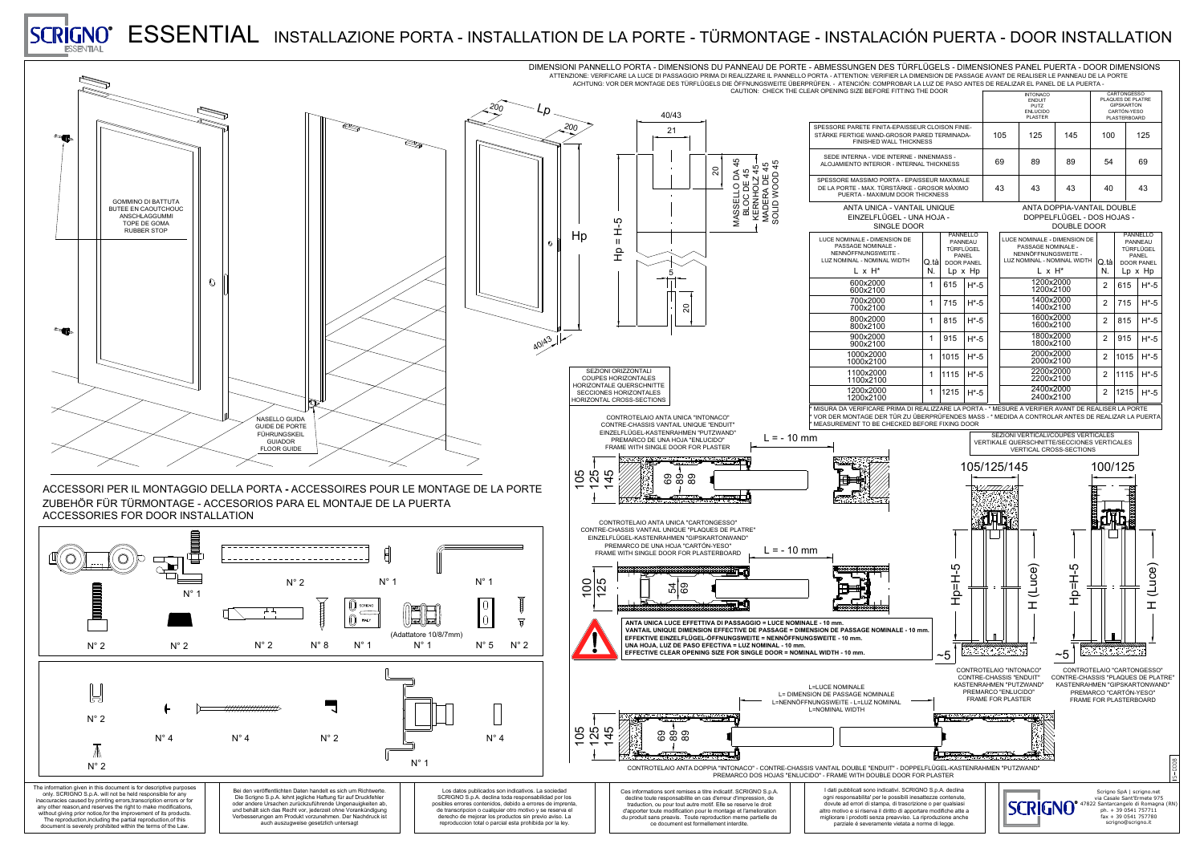



|                                                                                                                                                     |                                                                                                                                                                                                                                                                                                                                                                                                                                                                                                     | IMENSIONES PANEL PUERTA - DOOR DIMENSIONS<br>SSAGE AVANT DE REALISER LE PANNEAU DE LA PORTE<br>ANTES DE REALIZAR EL PANEL DE LA PUERTA - |     |                                                                                                                                          |                                                                                                    |                                                                                                                                                                          |  |
|-----------------------------------------------------------------------------------------------------------------------------------------------------|-----------------------------------------------------------------------------------------------------------------------------------------------------------------------------------------------------------------------------------------------------------------------------------------------------------------------------------------------------------------------------------------------------------------------------------------------------------------------------------------------------|------------------------------------------------------------------------------------------------------------------------------------------|-----|------------------------------------------------------------------------------------------------------------------------------------------|----------------------------------------------------------------------------------------------------|--------------------------------------------------------------------------------------------------------------------------------------------------------------------------|--|
|                                                                                                                                                     | <b>INTONACO</b><br><b>ENDUIT</b><br><b>PUTZ</b><br><b>ENLUCIDO</b><br><b>PLASTER</b>                                                                                                                                                                                                                                                                                                                                                                                                                |                                                                                                                                          |     |                                                                                                                                          | <b>CARTONGESSO</b><br>PLAQUES DE PLATRE<br><b>GIPSKARTON</b><br>CARTÓN-YESO<br><b>PLASTERBOARD</b> |                                                                                                                                                                          |  |
| IE-<br>)A-                                                                                                                                          | 105                                                                                                                                                                                                                                                                                                                                                                                                                                                                                                 | 125                                                                                                                                      | 145 |                                                                                                                                          | 100                                                                                                | 125                                                                                                                                                                      |  |
|                                                                                                                                                     | 69                                                                                                                                                                                                                                                                                                                                                                                                                                                                                                  | 89<br>89                                                                                                                                 |     | 54                                                                                                                                       |                                                                                                    | 69                                                                                                                                                                       |  |
| -E<br>$\overline{O}$                                                                                                                                | 43                                                                                                                                                                                                                                                                                                                                                                                                                                                                                                  | 43                                                                                                                                       | 43  | 40                                                                                                                                       |                                                                                                    | 43                                                                                                                                                                       |  |
| <b>ANTA DOPPIA-VANTAIL DOUBLE</b><br>DOPPELFLÜGEL - DOS HOJAS -<br><b>DOUBLE DOOR</b>                                                               |                                                                                                                                                                                                                                                                                                                                                                                                                                                                                                     |                                                                                                                                          |     |                                                                                                                                          |                                                                                                    |                                                                                                                                                                          |  |
| <b>ELLO</b><br><b>JEAU</b><br>.ÜGEL<br>JEL<br><b>PANEL</b><br>、Hp<br>$H*-5$<br>$H^*$ -5<br>$H*-5$<br>$H*-5$<br>$H*-5$<br>$H*-5$<br>$H^*$ -5<br>)OOR | <b>LUCE NOMINALE - DIMENSION DE</b><br><b>PASSAGE NOMINALE -</b><br>NENNÖFFNUNGSWEITE -<br>LUZ NOMINAL - NOMINAL WIDTH<br>$L \times H^*$<br>1200x2000<br>1200x2100<br>1400x2000<br>1400x2100<br>1600x2000<br>1600x2100<br>1800x2000<br>1800x2100<br>2000x2000<br>2000x2100<br>2200x2000<br>2200x2100<br>2400x2000<br>2400x2100<br>PORTA - * MESURE A VERIFIER AVANT DE REALISER LA PORTE<br>S MASS - * MEDIDA A CONTROLAR ANTES DE REALIZAR LA PUERTA<br><b>SEZIONI VERTICALI/COUPES VERTICALES</b> |                                                                                                                                          |     | Q tà<br>N.<br>$\overline{2}$<br>$\overline{2}$<br>$\overline{2}$<br>$\overline{2}$<br>$\overline{2}$<br>$\overline{2}$<br>$\overline{2}$ | 615<br>715<br>815<br>915<br>1015<br>1115<br>$1215$ H <sup>*</sup> -5                               | <b>PANNELLO</b><br><b>PANNEAU</b><br><b>TÜRFLÜGEL</b><br><b>PANEL</b><br><b>DOOR PANEL</b><br>$Lp \times Hp$<br>$H*-5$<br>$H*-5$<br>$H*-5$<br>$H*-5$<br>$H*-5$<br>$H*-5$ |  |
| <b>VERTIKALE QUERSCHNITTE/SECCIONES VERTICALES</b><br><b>VERTICAL CROSS-SECTIONS</b><br>105/125/145<br>100/125                                      |                                                                                                                                                                                                                                                                                                                                                                                                                                                                                                     |                                                                                                                                          |     |                                                                                                                                          |                                                                                                    |                                                                                                                                                                          |  |
|                                                                                                                                                     |                                                                                                                                                                                                                                                                                                                                                                                                                                                                                                     | (Luce)                                                                                                                                   |     |                                                                                                                                          |                                                                                                    | (Luce)<br>$\mathbf{\overline{L}}$                                                                                                                                        |  |